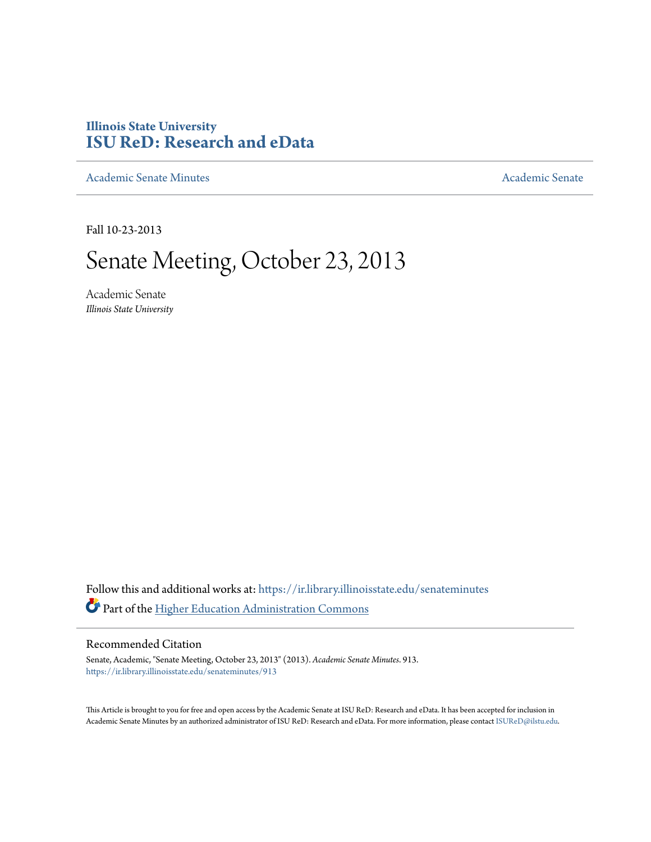# **Illinois State University [ISU ReD: Research and eData](https://ir.library.illinoisstate.edu?utm_source=ir.library.illinoisstate.edu%2Fsenateminutes%2F913&utm_medium=PDF&utm_campaign=PDFCoverPages)**

[Academic Senate Minutes](https://ir.library.illinoisstate.edu/senateminutes?utm_source=ir.library.illinoisstate.edu%2Fsenateminutes%2F913&utm_medium=PDF&utm_campaign=PDFCoverPages) [Academic Senate](https://ir.library.illinoisstate.edu/senate?utm_source=ir.library.illinoisstate.edu%2Fsenateminutes%2F913&utm_medium=PDF&utm_campaign=PDFCoverPages) Academic Senate

Fall 10-23-2013

# Senate Meeting, October 23, 2013

Academic Senate *Illinois State University*

Follow this and additional works at: [https://ir.library.illinoisstate.edu/senateminutes](https://ir.library.illinoisstate.edu/senateminutes?utm_source=ir.library.illinoisstate.edu%2Fsenateminutes%2F913&utm_medium=PDF&utm_campaign=PDFCoverPages) Part of the [Higher Education Administration Commons](http://network.bepress.com/hgg/discipline/791?utm_source=ir.library.illinoisstate.edu%2Fsenateminutes%2F913&utm_medium=PDF&utm_campaign=PDFCoverPages)

#### Recommended Citation

Senate, Academic, "Senate Meeting, October 23, 2013" (2013). *Academic Senate Minutes*. 913. [https://ir.library.illinoisstate.edu/senateminutes/913](https://ir.library.illinoisstate.edu/senateminutes/913?utm_source=ir.library.illinoisstate.edu%2Fsenateminutes%2F913&utm_medium=PDF&utm_campaign=PDFCoverPages)

This Article is brought to you for free and open access by the Academic Senate at ISU ReD: Research and eData. It has been accepted for inclusion in Academic Senate Minutes by an authorized administrator of ISU ReD: Research and eData. For more information, please contact [ISUReD@ilstu.edu.](mailto:ISUReD@ilstu.edu)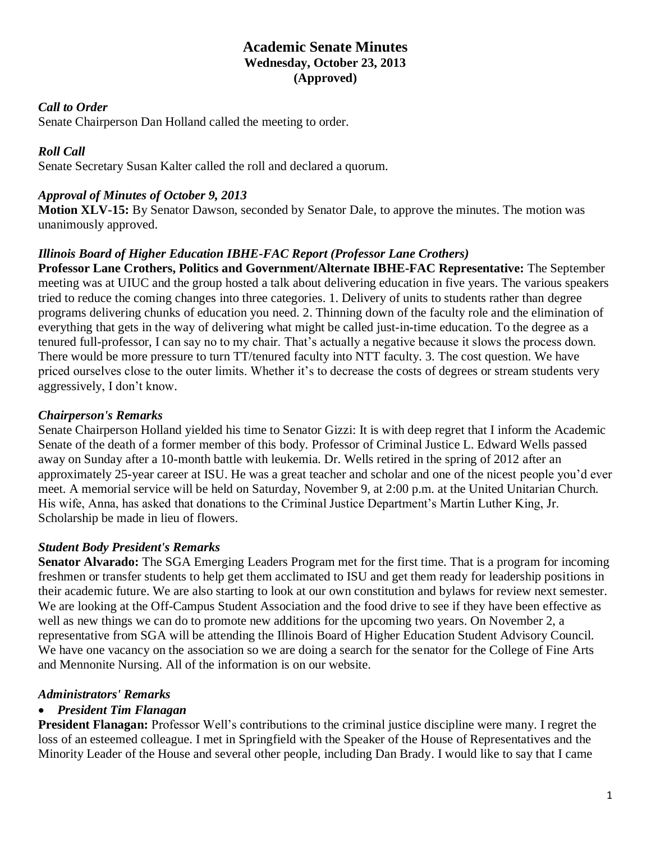## **Academic Senate Minutes Wednesday, October 23, 2013 (Approved)**

#### *Call to Order*

Senate Chairperson Dan Holland called the meeting to order.

#### *Roll Call*

Senate Secretary Susan Kalter called the roll and declared a quorum.

#### *Approval of Minutes of October 9, 2013*

**Motion XLV-15:** By Senator Dawson, seconded by Senator Dale, to approve the minutes. The motion was unanimously approved.

#### *Illinois Board of Higher Education IBHE-FAC Report (Professor Lane Crothers)*

**Professor Lane Crothers, Politics and Government/Alternate IBHE-FAC Representative:** The September meeting was at UIUC and the group hosted a talk about delivering education in five years. The various speakers tried to reduce the coming changes into three categories. 1. Delivery of units to students rather than degree programs delivering chunks of education you need. 2. Thinning down of the faculty role and the elimination of everything that gets in the way of delivering what might be called just-in-time education. To the degree as a tenured full-professor, I can say no to my chair. That's actually a negative because it slows the process down. There would be more pressure to turn TT/tenured faculty into NTT faculty. 3. The cost question. We have priced ourselves close to the outer limits. Whether it's to decrease the costs of degrees or stream students very aggressively, I don't know.

## *Chairperson's Remarks*

Senate Chairperson Holland yielded his time to Senator Gizzi: It is with deep regret that I inform the Academic Senate of the death of a former member of this body. Professor of Criminal Justice L. Edward Wells passed away on Sunday after a 10-month battle with leukemia. Dr. Wells retired in the spring of 2012 after an approximately 25-year career at ISU. He was a great teacher and scholar and one of the nicest people you'd ever meet. A memorial service will be held on Saturday, November 9, at 2:00 p.m. at the United Unitarian Church. His wife, Anna, has asked that donations to the Criminal Justice Department's Martin Luther King, Jr. Scholarship be made in lieu of flowers.

#### *Student Body President's Remarks*

**Senator Alvarado:** The SGA Emerging Leaders Program met for the first time. That is a program for incoming freshmen or transfer students to help get them acclimated to ISU and get them ready for leadership positions in their academic future. We are also starting to look at our own constitution and bylaws for review next semester. We are looking at the Off-Campus Student Association and the food drive to see if they have been effective as well as new things we can do to promote new additions for the upcoming two years. On November 2, a representative from SGA will be attending the Illinois Board of Higher Education Student Advisory Council. We have one vacancy on the association so we are doing a search for the senator for the College of Fine Arts and Mennonite Nursing. All of the information is on our website.

#### *Administrators' Remarks*

#### • *President Tim Flanagan*

**President Flanagan:** Professor Well's contributions to the criminal justice discipline were many. I regret the loss of an esteemed colleague. I met in Springfield with the Speaker of the House of Representatives and the Minority Leader of the House and several other people, including Dan Brady. I would like to say that I came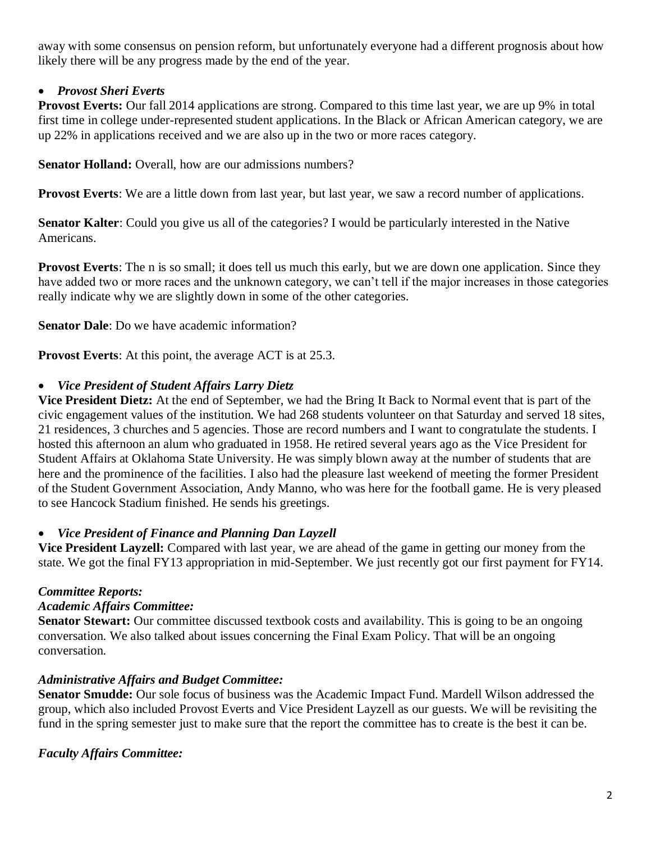away with some consensus on pension reform, but unfortunately everyone had a different prognosis about how likely there will be any progress made by the end of the year.

## • *Provost Sheri Everts*

**Provost Everts:** Our fall 2014 applications are strong. Compared to this time last year, we are up 9% in total first time in college under-represented student applications. In the Black or African American category, we are up 22% in applications received and we are also up in the two or more races category.

**Senator Holland:** Overall, how are our admissions numbers?

**Provost Everts:** We are a little down from last year, but last year, we saw a record number of applications.

**Senator Kalter**: Could you give us all of the categories? I would be particularly interested in the Native Americans.

**Provost Everts**: The n is so small; it does tell us much this early, but we are down one application. Since they have added two or more races and the unknown category, we can't tell if the major increases in those categories really indicate why we are slightly down in some of the other categories.

**Senator Dale**: Do we have academic information?

**Provost Everts:** At this point, the average ACT is at 25.3.

#### • *Vice President of Student Affairs Larry Dietz*

**Vice President Dietz:** At the end of September, we had the Bring It Back to Normal event that is part of the civic engagement values of the institution. We had 268 students volunteer on that Saturday and served 18 sites, 21 residences, 3 churches and 5 agencies. Those are record numbers and I want to congratulate the students. I hosted this afternoon an alum who graduated in 1958. He retired several years ago as the Vice President for Student Affairs at Oklahoma State University. He was simply blown away at the number of students that are here and the prominence of the facilities. I also had the pleasure last weekend of meeting the former President of the Student Government Association, Andy Manno, who was here for the football game. He is very pleased to see Hancock Stadium finished. He sends his greetings.

#### • *Vice President of Finance and Planning Dan Layzell*

**Vice President Layzell:** Compared with last year, we are ahead of the game in getting our money from the state. We got the final FY13 appropriation in mid-September. We just recently got our first payment for FY14.

#### *Committee Reports:*

#### *Academic Affairs Committee:*

**Senator Stewart:** Our committee discussed textbook costs and availability. This is going to be an ongoing conversation. We also talked about issues concerning the Final Exam Policy. That will be an ongoing conversation.

#### *Administrative Affairs and Budget Committee:*

**Senator Smudde:** Our sole focus of business was the Academic Impact Fund. Mardell Wilson addressed the group, which also included Provost Everts and Vice President Layzell as our guests. We will be revisiting the fund in the spring semester just to make sure that the report the committee has to create is the best it can be.

#### *Faculty Affairs Committee:*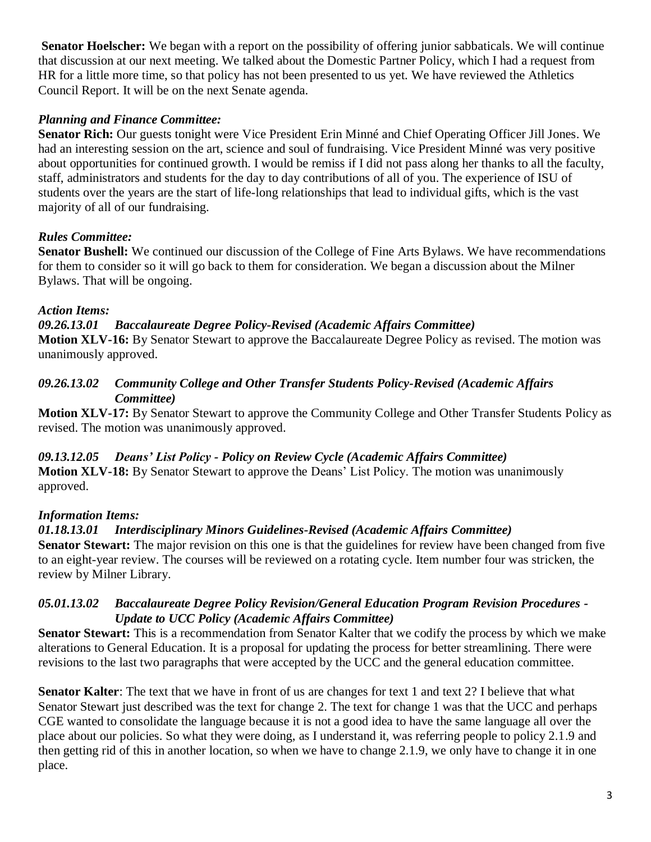**Senator Hoelscher:** We began with a report on the possibility of offering junior sabbaticals. We will continue that discussion at our next meeting. We talked about the Domestic Partner Policy, which I had a request from HR for a little more time, so that policy has not been presented to us yet. We have reviewed the Athletics Council Report. It will be on the next Senate agenda.

## *Planning and Finance Committee:*

**Senator Rich:** Our guests tonight were Vice President Erin Minné and Chief Operating Officer Jill Jones. We had an interesting session on the art, science and soul of fundraising. Vice President Minné was very positive about opportunities for continued growth. I would be remiss if I did not pass along her thanks to all the faculty, staff, administrators and students for the day to day contributions of all of you. The experience of ISU of students over the years are the start of life-long relationships that lead to individual gifts, which is the vast majority of all of our fundraising.

## *Rules Committee:*

**Senator Bushell:** We continued our discussion of the College of Fine Arts Bylaws. We have recommendations for them to consider so it will go back to them for consideration. We began a discussion about the Milner Bylaws. That will be ongoing.

## *Action Items:*

## *09.26.13.01 Baccalaureate Degree Policy-Revised (Academic Affairs Committee)* **Motion XLV-16:** By Senator Stewart to approve the Baccalaureate Degree Policy as revised. The motion was

unanimously approved.

#### *09.26.13.02 Community College and Other Transfer Students Policy-Revised (Academic Affairs Committee)*

**Motion XLV-17:** By Senator Stewart to approve the Community College and Other Transfer Students Policy as revised. The motion was unanimously approved.

#### *09.13.12.05 Deans' List Policy - Policy on Review Cycle (Academic Affairs Committee)* **Motion XLV-18:** By Senator Stewart to approve the Deans' List Policy. The motion was unanimously approved.

## *Information Items:*

## *01.18.13.01 Interdisciplinary Minors Guidelines-Revised (Academic Affairs Committee)*

**Senator Stewart:** The major revision on this one is that the guidelines for review have been changed from five to an eight-year review. The courses will be reviewed on a rotating cycle. Item number four was stricken, the review by Milner Library.

#### *05.01.13.02 Baccalaureate Degree Policy Revision/General Education Program Revision Procedures - Update to UCC Policy (Academic Affairs Committee)*

**Senator Stewart:** This is a recommendation from Senator Kalter that we codify the process by which we make alterations to General Education. It is a proposal for updating the process for better streamlining. There were revisions to the last two paragraphs that were accepted by the UCC and the general education committee.

**Senator Kalter**: The text that we have in front of us are changes for text 1 and text 2? I believe that what Senator Stewart just described was the text for change 2. The text for change 1 was that the UCC and perhaps CGE wanted to consolidate the language because it is not a good idea to have the same language all over the place about our policies. So what they were doing, as I understand it, was referring people to policy 2.1.9 and then getting rid of this in another location, so when we have to change 2.1.9, we only have to change it in one place.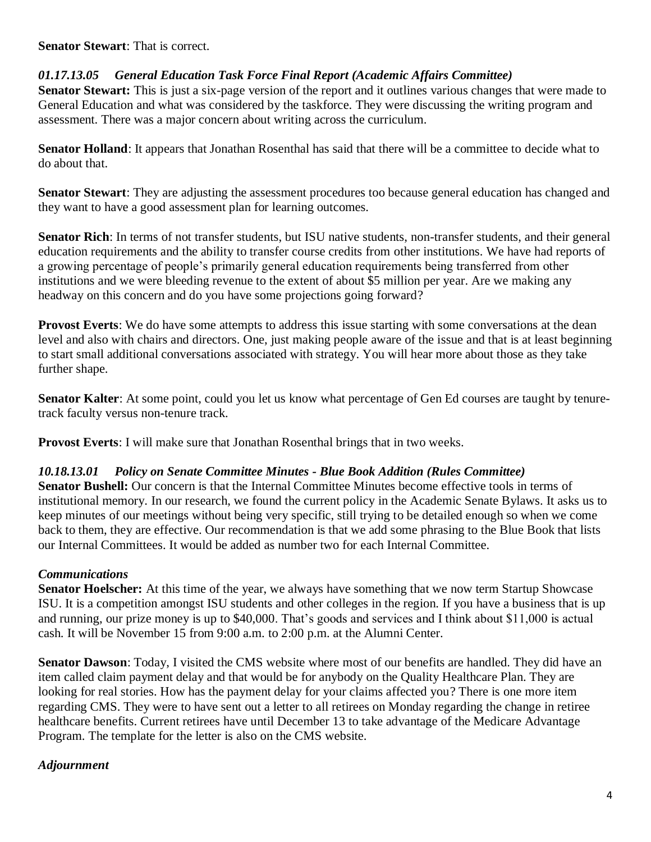**Senator Stewart**: That is correct.

## *01.17.13.05 General Education Task Force Final Report (Academic Affairs Committee)*

**Senator Stewart:** This is just a six-page version of the report and it outlines various changes that were made to General Education and what was considered by the taskforce. They were discussing the writing program and assessment. There was a major concern about writing across the curriculum.

**Senator Holland**: It appears that Jonathan Rosenthal has said that there will be a committee to decide what to do about that.

**Senator Stewart**: They are adjusting the assessment procedures too because general education has changed and they want to have a good assessment plan for learning outcomes.

**Senator Rich**: In terms of not transfer students, but ISU native students, non-transfer students, and their general education requirements and the ability to transfer course credits from other institutions. We have had reports of a growing percentage of people's primarily general education requirements being transferred from other institutions and we were bleeding revenue to the extent of about \$5 million per year. Are we making any headway on this concern and do you have some projections going forward?

**Provost Everts:** We do have some attempts to address this issue starting with some conversations at the dean level and also with chairs and directors. One, just making people aware of the issue and that is at least beginning to start small additional conversations associated with strategy. You will hear more about those as they take further shape.

**Senator Kalter**: At some point, could you let us know what percentage of Gen Ed courses are taught by tenuretrack faculty versus non-tenure track.

**Provost Everts**: I will make sure that Jonathan Rosenthal brings that in two weeks.

## *10.18.13.01 Policy on Senate Committee Minutes - Blue Book Addition (Rules Committee)*

**Senator Bushell:** Our concern is that the Internal Committee Minutes become effective tools in terms of institutional memory. In our research, we found the current policy in the Academic Senate Bylaws. It asks us to keep minutes of our meetings without being very specific, still trying to be detailed enough so when we come back to them, they are effective. Our recommendation is that we add some phrasing to the Blue Book that lists our Internal Committees. It would be added as number two for each Internal Committee.

## *Communications*

**Senator Hoelscher:** At this time of the year, we always have something that we now term Startup Showcase ISU. It is a competition amongst ISU students and other colleges in the region. If you have a business that is up and running, our prize money is up to \$40,000. That's goods and services and I think about \$11,000 is actual cash. It will be November 15 from 9:00 a.m. to 2:00 p.m. at the Alumni Center.

**Senator Dawson**: Today, I visited the CMS website where most of our benefits are handled. They did have an item called claim payment delay and that would be for anybody on the Quality Healthcare Plan. They are looking for real stories. How has the payment delay for your claims affected you? There is one more item regarding CMS. They were to have sent out a letter to all retirees on Monday regarding the change in retiree healthcare benefits. Current retirees have until December 13 to take advantage of the Medicare Advantage Program. The template for the letter is also on the CMS website.

## *Adjournment*